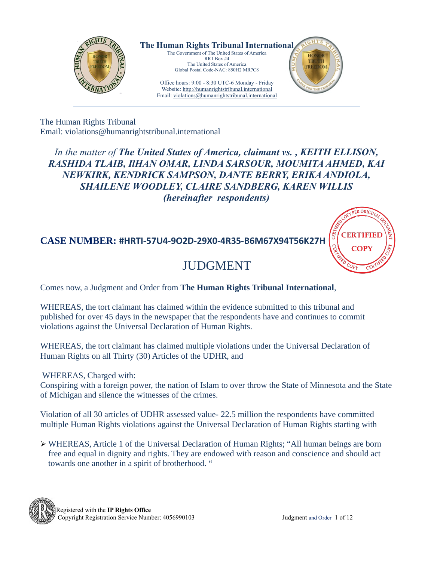

**The Human Rights Tribunal International** The Government of The United States of America RR1 Box #4

The United States of America Global Postal Code-NAC: 850H2 MR7C8

Office hours: 9:00 - 8:30 UTC-6 Monday - Friday Website: http://humanrightstribunal.international Email: violations@humanrightstribunal.international



The Human Rights Tribunal Email: violations@humanrightstribunal.international

*In the matter of The United States of America, claimant vs. , KEITH ELLISON, RASHIDA TLAIB, IlHAN OMAR, LINDA SARSOUR, MOUMITA AHMED, KAI NEWKIRK, KENDRICK SAMPSON, DANTE BERRY, ERIKA ANDIOLA, SHAILENE WOODLEY, CLAIRE SANDBERG, KAREN WILLIS (hereinafter respondents)*

### **CASE NUMBER: #HRTI-57U4-9O2D-29X0-4R35-B6M67X94T56K27H**

# JUDGMENT

Comes now, a Judgment and Order from **The Human Rights Tribunal International**,

WHEREAS, the tort claimant has claimed within the evidence submitted to this tribunal and published for over 45 days in the newspaper that the respondents have and continues to commit violations against the Universal Declaration of Human Rights.

WHEREAS, the tort claimant has claimed multiple violations under the Universal Declaration of Human Rights on all Thirty (30) Articles of the UDHR, and

WHEREAS, Charged with:

Conspiring with a foreign power, the nation of Islam to over throw the State of Minnesota and the State of Michigan and silence the witnesses of the crimes.

Violation of all 30 articles of UDHR assessed value- 22.5 million the respondents have committed multiple Human Rights violations against the Universal Declaration of Human Rights starting with

➢ WHEREAS, Article 1 of the Universal Declaration of Human Rights; "All human beings are born free and equal in dignity and rights. They are endowed with reason and conscience and should act towards one another in a spirit of brotherhood. "



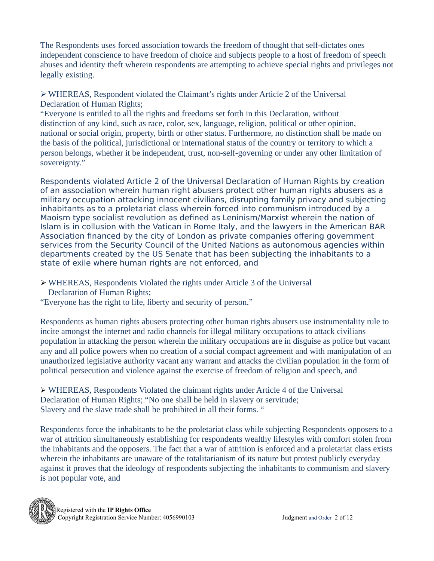The Respondents uses forced association towards the freedom of thought that self-dictates ones independent conscience to have freedom of choice and subjects people to a host of freedom of speech abuses and identity theft wherein respondents are attempting to achieve special rights and privileges not legally existing.

➢WHEREAS, Respondent violated the Claimant's rights under Article 2 of the Universal Declaration of Human Rights;

"Everyone is entitled to all the rights and freedoms set forth in this Declaration, without distinction of any kind, such as race, color, sex, language, religion, political or other opinion, national or social origin, property, birth or other status. Furthermore, no distinction shall be made on the basis of the political, jurisdictional or international status of the country or territory to which a person belongs, whether it be independent, trust, non-self-governing or under any other limitation of sovereignty."

Respondents violated Article 2 of the Universal Declaration of Human Rights by creation of an association wherein human right abusers protect other human rights abusers as a military occupation attacking innocent civilians, disrupting family privacy and subjecting inhabitants as to a proletariat class wherein forced into communism introduced by a Maoism type socialist revolution as defined as Leninism/Marxist wherein the nation of Islam is in collusion with the Vatican in Rome Italy, and the lawyers in the American BAR Association financed by the city of London as private companies offering government services from the Security Council of the United Nations as autonomous agencies within departments created by the US Senate that has been subjecting the inhabitants to a state of exile where human rights are not enforced, and

- ➢ WHEREAS, Respondents Violated the rights under Article 3 of the Universal Declaration of Human Rights;
- "Everyone has the right to life, liberty and security of person."

Respondents as human rights abusers protecting other human rights abusers use instrumentality rule to incite amongst the internet and radio channels for illegal military occupations to attack civilians population in attacking the person wherein the military occupations are in disguise as police but vacant any and all police powers when no creation of a social compact agreement and with manipulation of an unauthorized legislative authority vacant any warrant and attacks the civilian population in the form of political persecution and violence against the exercise of freedom of religion and speech, and

➢ WHEREAS, Respondents Violated the claimant rights under Article 4 of the Universal Declaration of Human Rights; "No one shall be held in slavery or servitude; Slavery and the slave trade shall be prohibited in all their forms. "

Respondents force the inhabitants to be the proletariat class while subjecting Respondents opposers to a war of attrition simultaneously establishing for respondents wealthy lifestyles with comfort stolen from the inhabitants and the opposers. The fact that a war of attrition is enforced and a proletariat class exists wherein the inhabitants are unaware of the totalitarianism of its nature but protest publicly everyday against it proves that the ideology of respondents subjecting the inhabitants to communism and slavery is not popular vote, and

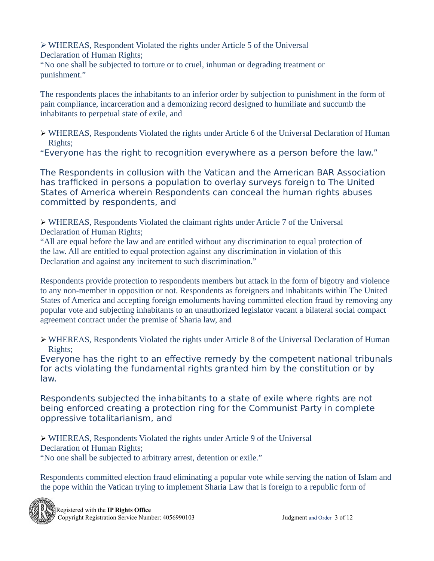➢WHEREAS, Respondent Violated the rights under Article 5 of the Universal Declaration of Human Rights;

"No one shall be subjected to torture or to cruel, inhuman or degrading treatment or punishment."

The respondents places the inhabitants to an inferior order by subjection to punishment in the form of pain compliance, incarceration and a demonizing record designed to humiliate and succumb the inhabitants to perpetual state of exile, and

- ➢ WHEREAS, Respondents Violated the rights under Article 6 of the Universal Declaration of Human Rights;
- "Everyone has the right to recognition everywhere as a person before the law."

The Respondents in collusion with the Vatican and the American BAR Association has trafficked in persons a population to overlay surveys foreign to The United States of America wherein Respondents can conceal the human rights abuses committed by respondents, and

➢ WHEREAS, Respondents Violated the claimant rights under Article 7 of the Universal Declaration of Human Rights;

"All are equal before the law and are entitled without any discrimination to equal protection of the law. All are entitled to equal protection against any discrimination in violation of this Declaration and against any incitement to such discrimination."

Respondents provide protection to respondents members but attack in the form of bigotry and violence to any non-member in opposition or not. Respondents as foreigners and inhabitants within The United States of America and accepting foreign emoluments having committed election fraud by removing any popular vote and subjecting inhabitants to an unauthorized legislator vacant a bilateral social compact agreement contract under the premise of Sharia law, and

➢ WHEREAS, Respondents Violated the rights under Article 8 of the Universal Declaration of Human Rights;

Everyone has the right to an effective remedy by the competent national tribunals for acts violating the fundamental rights granted him by the constitution or by law.

Respondents subjected the inhabitants to a state of exile where rights are not being enforced creating a protection ring for the Communist Party in complete oppressive totalitarianism, and

➢ WHEREAS, Respondents Violated the rights under Article 9 of the Universal Declaration of Human Rights; "No one shall be subjected to arbitrary arrest, detention or exile."

Respondents committed election fraud eliminating a popular vote while serving the nation of Islam and the pope within the Vatican trying to implement Sharia Law that is foreign to a republic form of

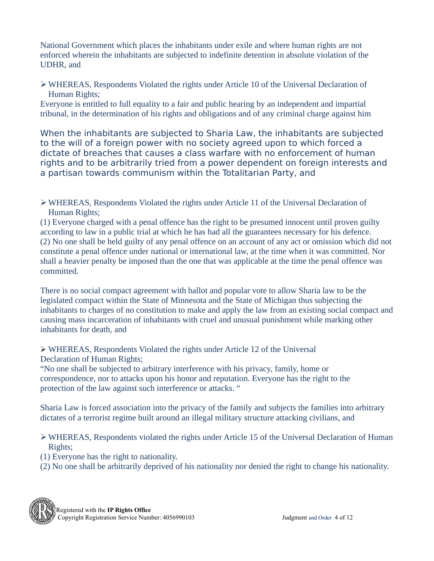National Government which places the inhabitants under exile and where human rights are not enforced wherein the inhabitants are subjected to indefinite detention in absolute violation of the UDHR, and

➢WHEREAS, Respondents Violated the rights under Article 10 of the Universal Declaration of Human Rights;

Everyone is entitled to full equality to a fair and public hearing by an independent and impartial tribunal, in the determination of his rights and obligations and of any criminal charge against him

When the inhabitants are subjected to Sharia Law, the inhabitants are subjected to the will of a foreign power with no society agreed upon to which forced a dictate of breaches that causes a class warfare with no enforcement of human rights and to be arbitrarily tried from a power dependent on foreign interests and a partisan towards communism within the Totalitarian Party, and

➢WHEREAS, Respondents Violated the rights under Article 11 of the Universal Declaration of Human Rights;

(1) Everyone charged with a penal offence has the right to be presumed innocent until proven guilty according to law in a public trial at which he has had all the guarantees necessary for his defence. (2) No one shall be held guilty of any penal offence on an account of any act or omission which did not constitute a penal offence under national or international law, at the time when it was committed. Nor shall a heavier penalty be imposed than the one that was applicable at the time the penal offence was committed.

There is no social compact agreement with ballot and popular vote to allow Sharia law to be the legislated compact within the State of Minnesota and the State of Michigan thus subjecting the inhabitants to charges of no constitution to make and apply the law from an existing social compact and causing mass incarceration of inhabitants with cruel and unusual punishment while marking other inhabitants for death, and

➢ WHEREAS, Respondents Violated the rights under Article 12 of the Universal Declaration of Human Rights;

"No one shall be subjected to arbitrary interference with his privacy, family, home or correspondence, nor to attacks upon his honor and reputation. Everyone has the right to the protection of the law against such interference or attacks. "

Sharia Law is forced association into the privacy of the family and subjects the families into arbitrary dictates of a terrorist regime built around an illegal military structure attacking civilians, and

➢WHEREAS, Respondents violated the rights under Article 15 of the Universal Declaration of Human Rights;

- (1) Everyone has the right to nationality.
- (2) No one shall be arbitrarily deprived of his nationality nor denied the right to change his nationality.

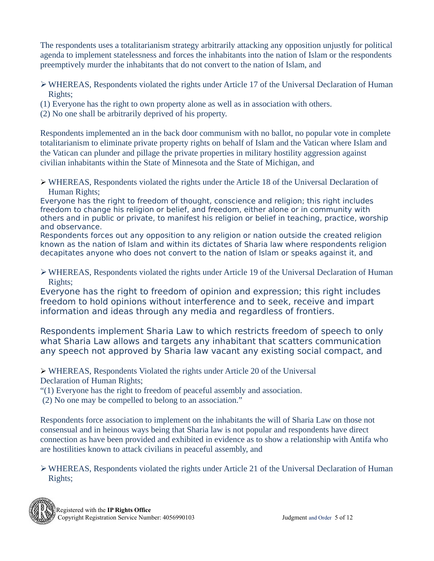The respondents uses a totalitarianism strategy arbitrarily attacking any opposition unjustly for political agenda to implement statelessness and forces the inhabitants into the nation of Islam or the respondents preemptively murder the inhabitants that do not convert to the nation of Islam, and

- ➢WHEREAS, Respondents violated the rights under Article 17 of the Universal Declaration of Human Rights;
- (1) Everyone has the right to own property alone as well as in association with others.
- (2) No one shall be arbitrarily deprived of his property.

Respondents implemented an in the back door communism with no ballot, no popular vote in complete totalitarianism to eliminate private property rights on behalf of Islam and the Vatican where Islam and the Vatican can plunder and pillage the private properties in military hostility aggression against civilian inhabitants within the State of Minnesota and the State of Michigan, and

➢ WHEREAS, Respondents violated the rights under the Article 18 of the Universal Declaration of Human Rights;

Everyone has the right to freedom of thought, conscience and religion; this right includes freedom to change his religion or belief, and freedom, either alone or in community with others and in public or private, to manifest his religion or belief in teaching, practice, worship and observance.

Respondents forces out any opposition to any religion or nation outside the created religion known as the nation of Islam and within its dictates of Sharia law where respondents religion decapitates anyone who does not convert to the nation of Islam or speaks against it, and

➢WHEREAS, Respondents violated the rights under Article 19 of the Universal Declaration of Human Rights;

Everyone has the right to freedom of opinion and expression; this right includes freedom to hold opinions without interference and to seek, receive and impart information and ideas through any media and regardless of frontiers.

Respondents implement Sharia Law to which restricts freedom of speech to only what Sharia Law allows and targets any inhabitant that scatters communication any speech not approved by Sharia law vacant any existing social compact, and

➢ WHEREAS, Respondents Violated the rights under Article 20 of the Universal Declaration of Human Rights;

"(1) Everyone has the right to freedom of peaceful assembly and association.

(2) No one may be compelled to belong to an association."

Respondents force association to implement on the inhabitants the will of Sharia Law on those not consensual and in heinous ways being that Sharia law is not popular and respondents have direct connection as have been provided and exhibited in evidence as to show a relationship with Antifa who are hostilities known to attack civilians in peaceful assembly, and

 $\triangleright$  WHEREAS, Respondents violated the rights under Article 21 of the Universal Declaration of Human Rights;

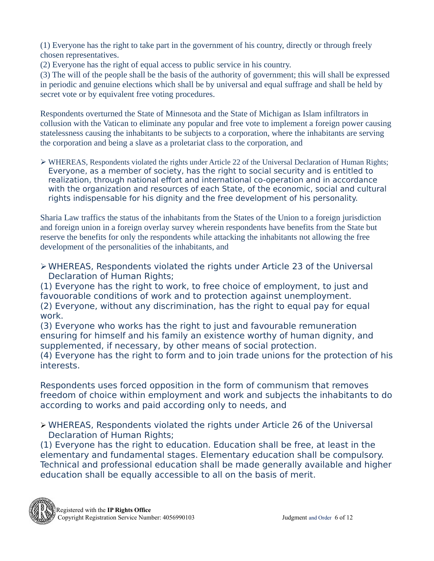(1) Everyone has the right to take part in the government of his country, directly or through freely chosen representatives.

(2) Everyone has the right of equal access to public service in his country.

(3) The will of the people shall be the basis of the authority of government; this will shall be expressed in periodic and genuine elections which shall be by universal and equal suffrage and shall be held by secret vote or by equivalent free voting procedures.

Respondents overturned the State of Minnesota and the State of Michigan as Islam infiltrators in collusion with the Vatican to eliminate any popular and free vote to implement a foreign power causing statelessness causing the inhabitants to be subjects to a corporation, where the inhabitants are serving the corporation and being a slave as a proletariat class to the corporation, and

➢ WHEREAS, Respondents violated the rights under Article 22 of the Universal Declaration of Human Rights; Everyone, as a member of society, has the right to social security and is entitled to realization, through national effort and international co-operation and in accordance with the organization and resources of each State, of the economic, social and cultural rights indispensable for his dignity and the free development of his personality.

Sharia Law traffics the status of the inhabitants from the States of the Union to a foreign jurisdiction and foreign union in a foreign overlay survey wherein respondents have benefits from the State but reserve the benefits for only the respondents while attacking the inhabitants not allowing the free development of the personalities of the inhabitants, and

➢WHEREAS, Respondents violated the rights under Article 23 of the Universal Declaration of Human Rights;

(1) Everyone has the right to work, to free choice of employment, to just and favouorable conditions of work and to protection against unemployment. (2) Everyone, without any discrimination, has the right to equal pay for equal work.

(3) Everyone who works has the right to just and favourable remuneration ensuring for himself and his family an existence worthy of human dignity, and supplemented, if necessary, by other means of social protection.

(4) Everyone has the right to form and to join trade unions for the protection of his interests.

Respondents uses forced opposition in the form of communism that removes freedom of choice within employment and work and subjects the inhabitants to do according to works and paid according only to needs, and

➢ WHEREAS, Respondents violated the rights under Article 26 of the Universal Declaration of Human Rights;

(1) Everyone has the right to education. Education shall be free, at least in the elementary and fundamental stages. Elementary education shall be compulsory. Technical and professional education shall be made generally available and higher education shall be equally accessible to all on the basis of merit.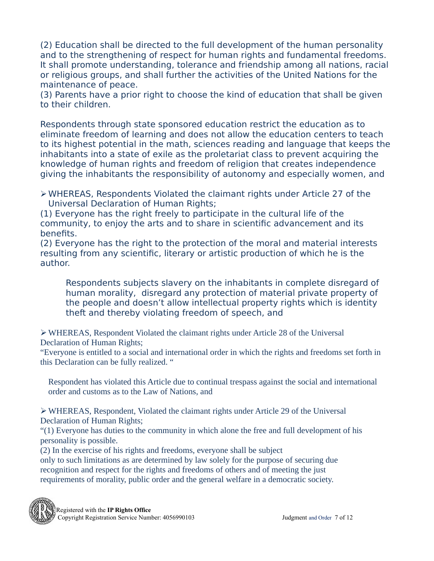(2) Education shall be directed to the full development of the human personality and to the strengthening of respect for human rights and fundamental freedoms. It shall promote understanding, tolerance and friendship among all nations, racial or religious groups, and shall further the activities of the United Nations for the maintenance of peace.

(3) Parents have a prior right to choose the kind of education that shall be given to their children.

Respondents through state sponsored education restrict the education as to eliminate freedom of learning and does not allow the education centers to teach to its highest potential in the math, sciences reading and language that keeps the inhabitants into a state of exile as the proletariat class to prevent acquiring the knowledge of human rights and freedom of religion that creates independence giving the inhabitants the responsibility of autonomy and especially women, and

➢WHEREAS, Respondents Violated the claimant rights under Article 27 of the Universal Declaration of Human Rights;

(1) Everyone has the right freely to participate in the cultural life of the community, to enjoy the arts and to share in scientific advancement and its benefits.

(2) Everyone has the right to the protection of the moral and material interests resulting from any scientific, literary or artistic production of which he is the author.

Respondents subjects slavery on the inhabitants in complete disregard of human morality, disregard any protection of material private property of the people and doesn't allow intellectual property rights which is identity theft and thereby violating freedom of speech, and

➢WHEREAS, Respondent Violated the claimant rights under Article 28 of the Universal Declaration of Human Rights;

"Everyone is entitled to a social and international order in which the rights and freedoms set forth in this Declaration can be fully realized. "

Respondent has violated this Article due to continual trespass against the social and international order and customs as to the Law of Nations, and

➢WHEREAS, Respondent, Violated the claimant rights under Article 29 of the Universal Declaration of Human Rights;

"(1) Everyone has duties to the community in which alone the free and full development of his personality is possible.

(2) In the exercise of his rights and freedoms, everyone shall be subject only to such limitations as are determined by law solely for the purpose of securing due recognition and respect for the rights and freedoms of others and of meeting the just requirements of morality, public order and the general welfare in a democratic society.

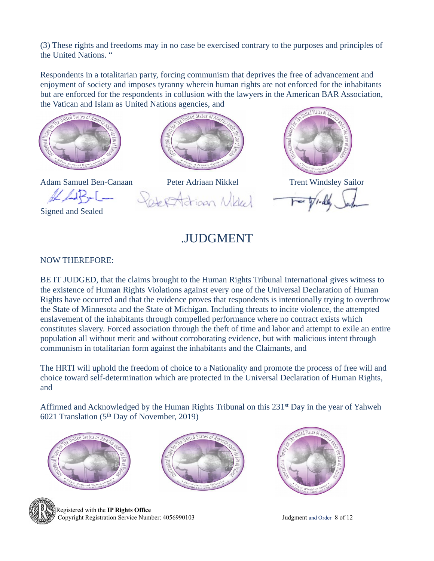(3) These rights and freedoms may in no case be exercised contrary to the purposes and principles of the United Nations. "

Respondents in a totalitarian party, forcing communism that deprives the free of advancement and enjoyment of society and imposes tyranny wherein human rights are not enforced for the inhabitants but are enforced for the respondents in collusion with the lawyers in the American BAR Association, the Vatican and Islam as United Nations agencies, and





Signed and Sealed



Adam Samuel Ben-Canaan Peter Adriaan Nikkel Trent Windsley Sailor Frigan Mikkel  $2687$ 



.JUDGMENT

### NOW THEREFORE:

BE IT JUDGED, that the claims brought to the Human Rights Tribunal International gives witness to the existence of Human Rights Violations against every one of the Universal Declaration of Human Rights have occurred and that the evidence proves that respondents is intentionally trying to overthrow the State of Minnesota and the State of Michigan. Including threats to incite violence, the attempted enslavement of the inhabitants through compelled performance where no contract exists which constitutes slavery. Forced association through the theft of time and labor and attempt to exile an entire population all without merit and without corroborating evidence, but with malicious intent through communism in totalitarian form against the inhabitants and the Claimants, and

The HRTI will uphold the freedom of choice to a Nationality and promote the process of free will and choice toward self-determination which are protected in the Universal Declaration of Human Rights, and

Affirmed and Acknowledged by the Human Rights Tribunal on this 231st Day in the year of Yahweh 6021 Translation ( $5<sup>th</sup>$  Day of November, 2019)









 Registered with the **IP Rights Office** Copyright Registration Service Number: 4056990103 Judgment and Order 8 of 12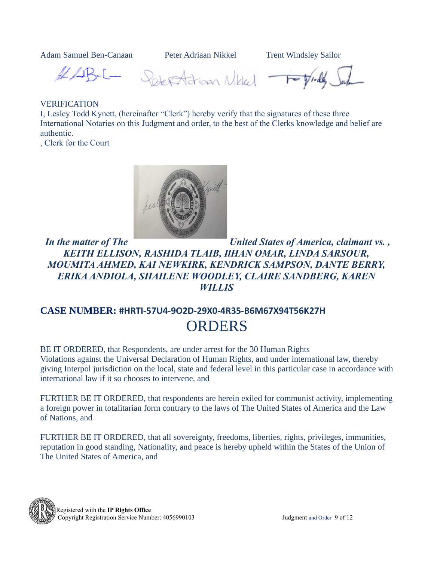Adam Samuel Ben-Canaan Peter Adriaan Nikkel Trent Windsley Sailor

HLB-L- Selection Nikled Topidly.

#### VERIFICATION

I, Lesley Todd Kynett, (hereinafter "Clerk") hereby verify that the signatures of these three International Notaries on this Judgment and order, to the best of the Clerks knowledge and belief are authentic.

, Clerk for the Court



*In the matter of The United States of America, claimant vs. , KEITH ELLISON, RASHIDA TLAIB, IlHAN OMAR, LINDA SARSOUR, MOUMITA AHMED, KAI NEWKIRK, KENDRICK SAMPSON, DANTE BERRY, ERIKA ANDIOLA, SHAILENE WOODLEY, CLAIRE SANDBERG, KAREN WILLIS*

## **CASE NUMBER: #HRTI-57U4-9O2D-29X0-4R35-B6M67X94T56K27H** ORDERS

BE IT ORDERED, that Respondents, are under arrest for the 30 Human Rights Violations against the Universal Declaration of Human Rights, and under international law, thereby giving Interpol jurisdiction on the local, state and federal level in this particular case in accordance with international law if it so chooses to intervene, and

FURTHER BE IT ORDERED, that respondents are herein exiled for communist activity, implementing a foreign power in totalitarian form contrary to the laws of The United States of America and the Law of Nations, and

FURTHER BE IT ORDERED, that all sovereignty, freedoms, liberties, rights, privileges, immunities, reputation in good standing, Nationality, and peace is hereby upheld within the States of the Union of The United States of America, and

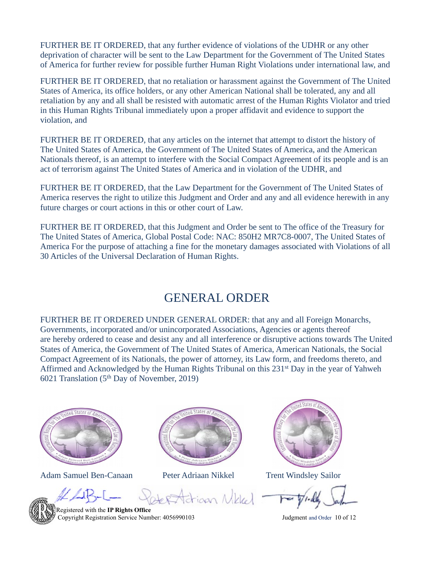FURTHER BE IT ORDERED, that any further evidence of violations of the UDHR or any other deprivation of character will be sent to the Law Department for the Government of The United States of America for further review for possible further Human Right Violations under international law, and

FURTHER BE IT ORDERED, that no retaliation or harassment against the Government of The United States of America, its office holders, or any other American National shall be tolerated, any and all retaliation by any and all shall be resisted with automatic arrest of the Human Rights Violator and tried in this Human Rights Tribunal immediately upon a proper affidavit and evidence to support the violation, and

FURTHER BE IT ORDERED, that any articles on the internet that attempt to distort the history of The United States of America, the Government of The United States of America, and the American Nationals thereof, is an attempt to interfere with the Social Compact Agreement of its people and is an act of terrorism against The United States of America and in violation of the UDHR, and

FURTHER BE IT ORDERED, that the Law Department for the Government of The United States of America reserves the right to utilize this Judgment and Order and any and all evidence herewith in any future charges or court actions in this or other court of Law.

FURTHER BE IT ORDERED, that this Judgment and Order be sent to The office of the Treasury for The United States of America, Global Postal Code: NAC: 850H2 MR7C8-0007, The United States of America For the purpose of attaching a fine for the monetary damages associated with Violations of all 30 Articles of the Universal Declaration of Human Rights.

### GENERAL ORDER

FURTHER BE IT ORDERED UNDER GENERAL ORDER: that any and all Foreign Monarchs, Governments, incorporated and/or unincorporated Associations, Agencies or agents thereof are hereby ordered to cease and desist any and all interference or disruptive actions towards The United States of America, the Government of The United States of America, American Nationals, the Social Compact Agreement of its Nationals, the power of attorney, its Law form, and freedoms thereto, and Affirmed and Acknowledged by the Human Rights Tribunal on this 231st Day in the year of Yahweh 6021 Translation ( $5<sup>th</sup>$  Day of November, 2019)



Adam Samuel Ben-Canaan Peter Adriaan Nikkel Trent Windsley Sailor





tion Mikled -

 Registered with the **IP Rights Office** Copyright Registration Service Number: 4056990103 Judgment and Order 10 of 12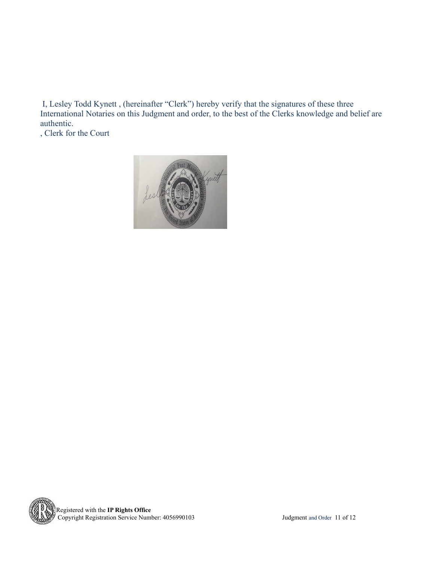I, Lesley Todd Kynett , (hereinafter "Clerk") hereby verify that the signatures of these three International Notaries on this Judgment and order, to the best of the Clerks knowledge and belief are authentic.

, Clerk for the Court